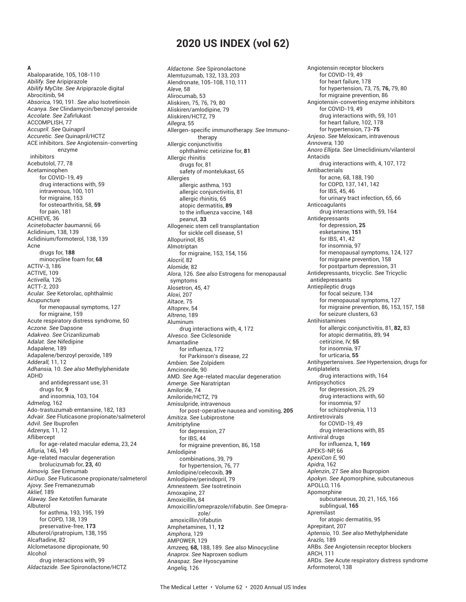# **2020 US INDEX (vol 62)**

#### **A**

Abaloparatide, 105, 108-110 *Abilify. See* Aripiprazole *Abilify MyCite. See* Aripiprazole digital Abrocitinib, 94 *Absorica,* 190, 191. *See also* Isotretinoin *Acanya. See* Clindamycin/benzoyl peroxide *Accolate. See* Zafi rlukast ACCOMPLISH, 77 *Accupril. See* Quinapril *Accuretic. See* Quinapril/HCTZ ACE inhibitors. *See* Angiotensin-converting enzyme inhibitors Acebutolol, 77, 78 Acetaminophen for COVID-19, 49 drug interactions with, 59 intravenous, 100, 101 for migraine, 153 for osteoarthritis, 58, **59** for pain, 181 ACHIEVE, 36 *Acinetobacter baumannii,* 66 Aclidinium, 138, 139 Aclidinium/formoterol, 138, 139 Acne drugs for, **188** minocycline foam for, **68** ACTIV-3, 186 ACTIVE, 109 *Activella,* 126 ACTT-2, 203 *Acular. See* Ketorolac, ophthalmic Acupuncture for menopausal symptoms, 127 for migraine, 159 Acute respiratory distress syndrome, 50 *Aczone. See* Dapsone *Adakveo. See* Crizanlizumab *Adalat. See* Nifedipine Adapalene, 189 Adapalene/benzoyl peroxide, 189 *Adderall,* 11, 12 *Adhansia,* 10. *See also* Methylphenidate ADHD and antidepressant use, 31 drugs for, **9** and insomnia, 103, 104 *Admelog,* 162 Ado-trastuzumab emtansine, 182, 183 *Advair. See* Fluticasone propionate/salmeterol *Advil. See* Ibuprofen *Adzenys,* 11, 12 Aflibercept for age-related macular edema, 23, 24 *Afluria,* 146, 149 Age-related macular degeneration brolucizumab for, **23,** 40 *Aimovig. See* Erenumab *AirDuo. See* Fluticasone propionate/salmeterol *Ajovy. See* Fremanezumab *Aklief,* 189 *Alaway. See* Ketotifen fumarate Albuterol for asthma, 193, 195, 199 for COPD, 138, 139 preservative-free, **173** Albuterol/ipratropium, 138, 195 Alcaftadine, 82 Alclometasone dipropionate, 90 Alcohol drug interactions with, 99 *Aldactazide. See* Spironolactone/HCTZ

*Aldactone. See* Spironolactone Alemtuzumab, 132, 133, 203 Alendronate, 105-108, 110, 111 *Aleve,* 58 Alirocumab, 53 Aliskiren, 75, 76, 79, 80 Aliskiren/amlodipine, 79 Aliskiren/HCTZ, 79 *Allegra*, 55 Allergen-specific immunotherapy. See Immunotherany Allergic conjunctivitis ophthalmic cetirizine for, **81** Allergic rhinitis drugs for, 81 safety of montelukast, 65 Allergies allergic asthma, 193 allergic conjunctivitis, 81 allergic rhinitis, 65 atopic dermatitis, **89** to the influenza vaccine, 148 peanut, **33** Allogeneic stem cell transplantation for sickle cell disease, 51 Allopurinol, 85 Almotriptan for migraine, 153, 154, 156 *Alocril,* 82 *Alomide,* 82 *Alora,* 126. *See also* Estrogens for menopausal symptoms Alosetron, 45, 47 *Aloxi*, 207 *Altace*, 75 *Altoprev*, 54 *Altreno,* 189 Aluminum drug interactions with, 4, 172 *Alvesco. See* Ciclesonide Amantadine for influenza, 172 for Parkinson's disease, 22 *Ambien. See* Zolpidem Amcinonide, 90 AMD. *See* Age-related macular degeneration *Amerge. See* Naratriptan Amiloride, 74 Amiloride/HCTZ, 79 Amisulpride, intravenous for post-operative nausea and vomiting, **205** *Amitiza. See* Lubiprostone Amitriptyline for depression, 27 for IBS, 44 for migraine prevention, 86, 158 Amlodipine combinations, 39, 79 for hypertension, 76, 77 Amlodipine/celecoxib, **39** Amlodipine/perindopril, 79 *Amnesteem. See* Isotretinoin Amoxapine, 27 Amoxicillin, 84 Amoxicillin/omeprazole/rifabutin. *See* Omeprazole/ amoxicillin/rifabutin Amphetamines, 11, **12** *Amphora,* 129 AMPOWER, 129 *Amzeeq,* **68,** 188, 189. *See also* Minocycline *Anaprox. See* Naproxen sodium *Anaspaz. See* Hyoscyamine *Angeliq,* 126

Angiotensin receptor blockers for COVID-19, 49 for heart failure, 178 for hypertension, 73, 75, **76,** 79, 80 for migraine prevention, 86 Angiotensin-converting enzyme inhibitors for COVID-19, 49 drug interactions with, 59, 101 for heart failure, 102, 178 for hypertension, 73-**75** *Anjeso. See* Meloxicam, intravenous *Annovera,* 130 *Anoro Ellipta. See* Umeclidinium/vilanterol Antacids drug interactions with, 4, 107, 172 Antibacterials for acne, 68, 188, 190 for COPD, 137, 141, 142 for IBS, 45, 46 for urinary tract infection, 65, 66 Anticoagulants drug interactions with, 59, 164 Antidepressants for depression, **25** esketamine, **151** for IBS, 41, 42 for insomnia, 97 for menopausal symptoms, 124, 127 for migraine prevention, 158 for postpartum depression, 31 Antidepressants, tricyclic. *See* Tricyclic antidepressants Antiepileptic drugs for focal seizure, 134 for menopausal symptoms, 127 for migraine prevention, 86, 153, 157, 158 for seizure clusters, 63 Antihistamines for allergic conjunctivitis, 81, **82,** 83 for atopic dermatitis, 89, 94 cetirizine, IV, **55** for insomnia, 97 for urticaria, **55** Antihypertensives. *See* Hypertension, drugs for Antiplatelets drug interactions with, 164 Antipsychotics for depression, 25, 29 drug interactions with, 60 for insomnia, 97 for schizophrenia, 113 Antiretrovirals for COVID-19, 49 drug interactions with, 85 Antiviral drugs for influenza, **1, 169** APEKS-NP, 66 *ApexiCon E,* 90 *Apidra,* 162 *Aplenzin*, 27 *See* also Bupropion *Apokyn. See* Apomorphine, subcutaneous APOLLO, 116 Apomorphine subcutaneous, 20, 21, 165, 166 sublingual, **165** Apremilast for atopic dermatitis, 95 Aprepitant, 207 *Aptensio,* 10. *See also* Methylphenidate *Arazlo,* 189 ARBs. *See* Angiotensin receptor blockers ARCH, 111 ARDs. *See* Acute respiratory distress syndrome Arformoterol, 138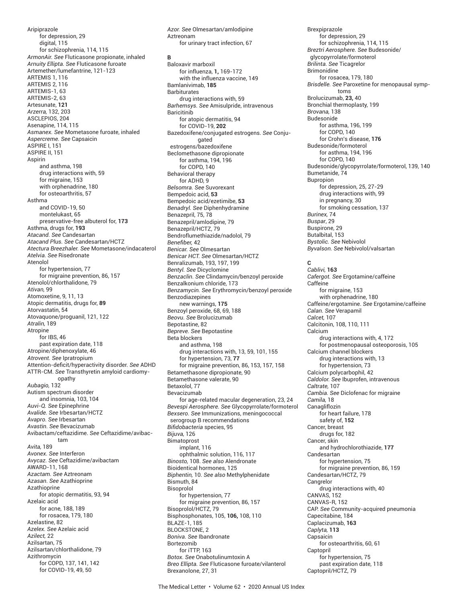Aripiprazole for depression, 29 digital, 115 for schizophrenia, 114, 115 *ArmonAir. See* Fluticasone propionate, inhaled *Arnuity Ellipta. See* Fluticasone furoate Artemether/lumefantrine, 121-123 ARTEMIS 1, 116 ARTEMIS 2, 116 ARTEMIS-1, 63 ARTEMIS-2, 63 Artesunate, **121** *Arzerra,* 132, 203 ASCLEPIOS, 204 Asenapine, 114, 115 *Asmanex. See* Mometasone furoate, inhaled *Aspercreme. See* Capsaicin ASPIRE I, 151 ASPIRE II, 151 Aspirin and asthma, 198 drug interactions with, 59 for migraine, 153 with orphenadrine, 180 for osteoarthritis, 57 Asthma and COVID-19, 50 montelukast, 65 preservative-free albuterol for, **173** Asthma, drugs for, **193** *Atacand. See* Candesartan *Atacand Plus. See* Candesartan/HCTZ *Atectura Breezhaler. See* Mometasone/indacaterol *Atelvia. See* Risedronate Atenolol for hypertension, 77 for migraine prevention, 86, 157 Atenolol/chlorthalidone, 79 *Ativan,* 99 Atomoxetine, 9, 11, 13 Atopic dermatitis, drugs for, **89** Atorvastatin, 54 Atovaquone/proguanil, 121, 122 *Atralin,* 189 Atropine for IBS, 46 past expiration date, 118 Atropine/diphenoxylate, 46 *Atrovent. See* Ipratropium Attention-deficit/hyperactivity disorder. See ADHD ATTR-CM. *See* Transthyretin amyloid cardiomyopathy *Aubagio,* 132 Autism spectrum disorder and insomnia, 103, 104 *Auvi-Q. See* Epinephrine *Avalide. See* Irbesartan/HCTZ *Avapro. See* Irbesartan *Avastin. See* Bevacizumab Avibactam/ceftazidime. *See* Ceftazidime/avibactam *Avita,* 189 *Avonex. See* Interferon *Avycaz. See* Ceftazidime/avibactam AWARD-11, 168 *Azactam. See* Aztreonam *Azasan. See* Azathioprine Azathioprine for atopic dermatitis, 93, 94 Azelaic acid for acne, 188, 189 for rosacea, 179, 180 Azelastine, 82 *Azelex. See* Azelaic acid *Azilect,* 22 Azilsartan, 75 Azilsartan/chlorthalidone, 79 Azithromycin for COPD, 137, 141, 142 for COVID-19, 49, 50

*Azor. See* Olmesartan/amlodipine Aztreonam for urinary tract infection, 67 **B** Baloxavir marboxil for influenza, **1,** 169-172 with the influenza vaccine, 149 Bamlanivimab, **185** Barbiturates drug interactions with, 59 *Barhemsys. See* Amisulpride, intravenous **Baricitinib** for atopic dermatitis, 94 for COVID-19, **202** Bazedoxifene/conjugated estrogens. *See* Conjugated estrogens/bazedoxifene Beclomethasone dipropionate for asthma, 194, 196 for COPD, 140 Behavioral therapy for ADHD, 9 *Belsomra. See* Suvorexant Bempedoic acid, **53** Bempedoic acid/ezetimibe, **53** *Benadryl. See* Diphenhydramine Benazepril, 75, 78 Benazepril/amlodipine, 79 Benazepril/HCTZ, 79 Bendroflumethiazide/nadolol, 79 Benefiber, 42 *Benicar. See* Olmesartan *Benicar HCT. See* Olmesartan/HCTZ Benralizumab, 193, 197, 199 *Bentyl. See* Dicyclomine *Benzaclin. See* Clindamycin/benzoyl peroxide Benzalkonium chloride, 173 *Benzamycin. See* Erythromycin/benzoyl peroxide Benzodiazepines new warnings, **175** Benzoyl peroxide, 68, 69, 188 *Beovu. See* Brolucizumab Bepotastine, 82 *Bepreve. See* Bepotastine Beta blockers and asthma, 198 drug interactions with, 13, 59, 101, 155 for hypertension, 73, **77** for migraine prevention, 86, 153, 157, 158 Betamethasone dipropionate, 90 Betamethasone valerate, 90 Betaxolol, 77 Bevacizumab for age-related macular degeneration, 23, 24 *Bevespi Aerosphere. See* Glycopyrrolate/formoterol *Bexsero. See* Immunizations, meningococcal serogroup B recommendations *Bifi dobacteria* species, 95 *Bijuva,* 126 Bimatoprost implant, 116 ophthalmic solution, 116, 117 *Binosto,* 108. *See also* Alendronate Bioidentical hormones, 125 *Biphentin,* 10. *See also* Methylphenidate Bismuth, 84 Bisoprolol for hypertension, 77 for migraine prevention, 86, 157 Bisoprolol/HCTZ, 79 Bisphosphonates, 105, **106,** 108, 110 BLAZE-1, 185 BLOCKSTONE, 2 *Boniva. See* Ibandronate Bortezomib for iTTP, 163 *Botox. See* Onabotulinumtoxin A *Breo Ellipta. See* Fluticasone furoate/vilanterol Brexanolone, 27, 31

Brexpiprazole for depression, 29 for schizophrenia, 114, 115 *Breztri Aerosphere. See* Budesonide/ glycopyrrolate/formoterol *Brilinta. See* Ticagrelor Brimonidine for rosacea, 179, 180 *Brisdelle. See* Paroxetine for menopausal symptoms Brolucizumab, **23,** 40 Bronchial thermoplasty, 199 *Brovana,* 138 Budesonide for asthma, 196, 199 for COPD, 140 for Crohn's disease, **176** Budesonide/formoterol for asthma, 194, 196 for COPD, 140 Budesonide/glycopyrrolate/formoterol, 139, 140 Bumetanide, 74 Bupropion for depression, 25, 27-29 drug interactions with, 99 in pregnancy, 30 for smoking cessation, 137 *Burinex,* 74 *Buspar*, 29 Buspirone, 29 Butalbital, 153 *Bystolic. See* Nebivolol *Byvalson. See* Nebivolol/valsartan **C** *Cablivi,* **163** *Cafergot. See* Ergotamine/caffeine Caffeine for migraine, 153 with orphenadrine, 180 Caffeine/ergotamine. *See* Ergotamine/caffeine *Calan. See* Verapamil *Calcet,* 107 Calcitonin, 108, 110, 111 Calcium drug interactions with, 4, 172 for postmenopausal osteoporosis, 105 Calcium channel blockers drug interactions with, 13 for hypertension, 73 Calcium polycarbophil, 42 *Caldolor. See* Ibuprofen, intravenous *Caltrate,* 107 *Cambia. See* Diclofenac for migraine *Camila,* 18 Canagliflozin for heart failure, 178 safety of, **152** Cancer, breast drugs for, 182 Cancer, skin and hydrochlorothiazide, **177** Candesartan for hypertension, 75 for migraine prevention, 86, 159 Candesartan/HCTZ, 79 Cangrelor drug interactions with, 40 CANVAS, 152 CANVAS-R, 152 CAP. *See* Community-acquired pneumonia Capecitabine, 184 Caplacizumab, **163** *Caplyta,* **113** Capsaicin for osteoarthritis, 60, 61 **Captopril** for hypertension, 75 past expiration date, 118 Captopril/HCTZ, 79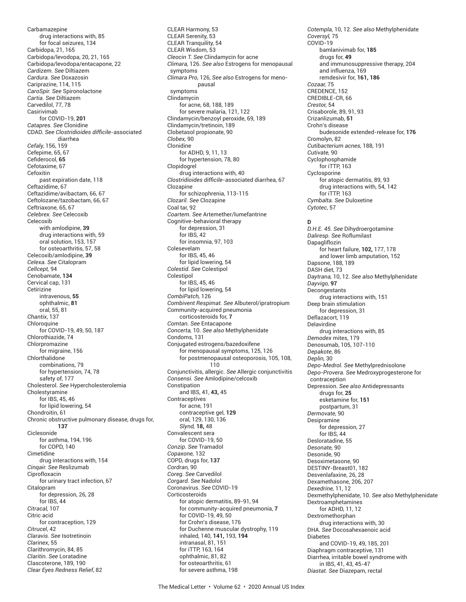Carbamazepine drug interactions with, 85 for focal seizures, 134 Carbidopa, 21, 165 Carbidopa/levodopa, 20, 21, 165 Carbidopa/levodopa/entacapone, 22 *Cardizem. See* Diltiazem *Cardura. See* Doxazosin Cariprazine, 114, 115 *CaroSpir. See* Spironolactone *Cartia. See* Diltiazem Carvedilol, 77, 78 Casirivimab for COVID-19, **201** *Catapres. See* Clonidine CDAD. *See Clostridioides diffi cile*-associated diarrhea *Cefaly,* 156, 159 Cefepime, 65, 67 Cefiderocol, 65 Cefotaxime, 67 **Cefoxitin** past expiration date, 118 Ceftazidime, 67 Ceftazidime/avibactam, 66, 67 Ceftolozane/tazobactam, 66, 67 Ceftriaxone, 65, 67 *Celebrex. See* Celecoxib Celecoxib with amlodipine, **39** drug interactions with, 59 oral solution, 153, 157 for osteoarthritis, 57, 58 Celecoxib/amlodipine, **39** *Celexa. See* Citalopram *Cellcept,* 94 Cenobamate, **134** Cervical cap, 131 Cetirizine intravenous, **55** ophthalmic, **81** oral, 55, 81 *Chantix*, 137 **Chloroquine** for COVID-19, 49, 50, 187 Chlorothiazide, 74 Chlorpromazine for migraine, 156 Chlorthalidone combinations, 79 for hypertension, 74, 78 safety of, 177 Cholesterol. *See* Hypercholesterolemia Cholestyramine for IBS, 45, 46 for lipid lowering, 54 Chondroitin, 61 Chronic obstructive pulmonary disease, drugs for, **137** Ciclesonide for asthma, 194, 196 for COPD, 140 Cimetidine drug interactions with, 154 *Cinqair. See* Reslizumab Ciprofloxacin for urinary tract infection, 67 Citalopram for depression, 26, 28 for IBS, 44 *Citracal,* 107 Citric acid for contraception, 129 *Citrucel*, 42 *Claravis. See* Isotretinoin *Clarinex*, 55 Clarithromycin, 84, 85 *Claritin. See* Loratadine Clascoterone, 189, 190 *Clear Eyes Redness Relief*, 82

CLEAR Harmony, 53 CLEAR Serenity, 53 CLEAR Tranquility, 54 CLEAR Wisdom, 53 *Cleocin T. See* Clindamycin for acne *Climara,* 126. *See also* Estrogens for menopausal symptoms *Climara Pro,* 126, *See also* Estrogens for menopausal symptoms Clindamycin for acne, 68, 188, 189 for severe malaria, 121, 122 Clindamycin/benzoyl peroxide, 69, 189 Clindamycin/tretinoin, 189 Clobetasol propionate, 90 *Clobex,* 90 Clonidine for ADHD, 9, 11, 13 for hypertension, 78, 80 Clopidogrel drug interactions with, 40 *Clostridioides difficile-associated diarrhea, 67* Clozapine for schizophrenia, 113-115 *Clozaril. See* Clozapine Coal tar, 92 *Coartem. See* Artemether/lumefantrine Cognitive-behavioral therapy for depression, 31 for IBS, 42 for insomnia, 97, 103 Colesevelam for IBS, 45, 46 for lipid lowering, 54 *Colestid. See* Colestipol Colestipol for IBS, 45, 46 for lipid lowering, 54 *CombiPatch,* 126 *Combivent Respimat. See* Albuterol/ipratropium Community-acquired pneumonia corticosteroids for, **7** *Comtan. See* Entacapone *Concerta,* 10. *See also* Methylphenidate Condoms, 131 Conjugated estrogens/bazedoxifene for menopausal symptoms, 125, 126 for postmenopausal osteoporosis, 105, 108, 110 Conjunctivitis, allergic. *See* Allergic conjunctivitis *Consensi. See* Amlodipine/celcoxib Constipation and IBS, 41, **43,** 45 Contraceptives for acne, 191 contraceptive gel, **129** oral, 129, 130, 136 *Slynd,* **18,** 48 Convalescent sera for COVID-19, 50 *Conzip. See* Tramadol *Copaxone,* 132 COPD, drugs for, **137** *Cordran,* 90 *Coreg. See* Carvedilol *Corgard. See* Nadolol Coronavirus. *See* COVID-19 Corticosteroids for atopic dermatitis, 89-91, 94 for community-acquired pneumonia, **7** for COVID-19, 49, 50 for Crohn's disease, 176 for Duchenne muscular dystrophy, 119 inhaled, 140, **141,** 193, **194** intranasal, 81, 151 for iTTP, 163, 164 ophthalmic, 81, 82 for osteoarthritis, 61 for severe asthma, 198

*Cotempla,* 10, 12. *See also* Methylphenidate *Coversyl,* 75 COVID-19 bamlanivimab for, **185** drugs for, **49** and immunosuppressive therapy, 204 and influenza, 169 remdesivir for, **161, 186** *Cozaar,* 75 CREDENCE, 152 CREDIBLE-CR, 66 *Crestor,* 54 Crisaborole, 89, 91, 93 Crizanlizumab, **51** Crohn's disease budesonide extended-release for, **176** Cromolyn, 82 *Cutibacterium acnes,* 188, 191 *Cutivate,* 90 Cyclophosphamide for iTTP, 163 Cyclosporine for atopic dermatitis, 89, 93 drug interactions with, 54, 142 for iTTP, 163 *Cymbalta. See* Duloxetine *Cytotec*, 57

## **D**

*D.H.E. 45. See* Dihydroergotamine *Daliresp. See* Roflumilast Dapagliflozin for heart failure, **102,** 177, 178 and lower limb amputation, 152 Dapsone, 188, 189 DASH diet, 73 *Daytrana,* 10, 12. *See also* Methylphenidate *Dayvigo,* **97 Decongestants** drug interactions with, 151 Deep brain stimulation for depression, 31 Deflazacort, 119 Delavirdine drug interactions with, 85 *Demodex* mites, 179 Denosumab, 105, 107-110 *Depakote*, 86 *Deplin,* 30 *Depo-Medrol. See* Methylprednisolone *Depo-Provera. See* Medroxyprogesterone for contraception Depression. *See also* Antidepressants drugs for, **25** esketamine for, **151** postpartum, 31 *Dermovate,* 90 Desipramine for depression, 27 for IBS, 44 Desloratadine, 55 *Desonate,* 90 Desonide, 90 Desoximetasone, 90 DESTINY-Breast01, 182 Desvenlafaxine, 26, 28 Dexamethasone, 206, 207 *Dexedrine,* 11, 12 Dexmethylphenidate, 10. *See also* Methylphenidate Dextroamphetamines for ADHD, 11, 12 Dextromethorphan drug interactions with, 30 DHA. *See* Docosahexaenoic acid Diabetes and COVID-19, 49, 185, 201 Diaphragm contraceptive, 131 Diarrhea, irritable bowel syndrome with in IBS, 41, 43, 45-47 *Diastat. See* Diazepam, rectal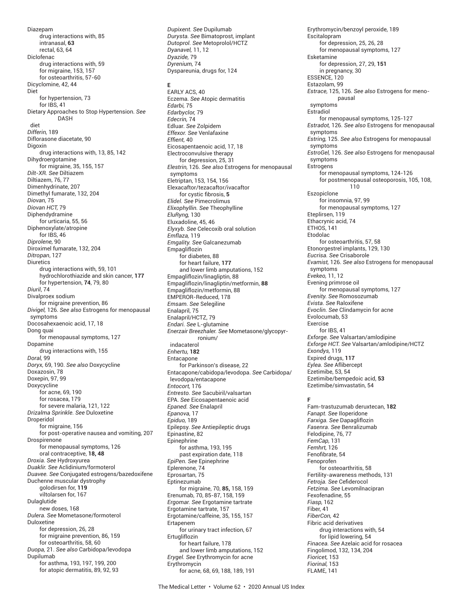Diazepam drug interactions with, 85 intranasal, **63** rectal, 63, 64 Diclofenac drug interactions with, 59 for migraine, 153, 157 for osteoarthritis, 57-60 Dicyclomine, 42, 44 Diet for hypertension, 73 for IBS, 41 Dietary Approaches to Stop Hypertension. *See* DASH diet *Differin,* 189 Diflorasone diacetate, 90 Digoxin drug interactions with, 13, 85, 142 Dihydroergotamine for migraine, 35, 155, 157 *Dilt-XR. See* Diltiazem Diltiazem, 76, 77 Dimenhydrinate, 207 Dimethyl fumarate, 132, 204 *Diovan,* 75 *Diovan HCT,* 79 Diphendydramine for urticaria, 55, 56 Diphenoxylate/atropine for IBS, 46 *Diprolene,* 90 Diroximel fumarate, 132, 204 *Ditropan*, 127 **Diuretics** drug interactions with, 59, 101 hydrochlorothiazide and skin cancer, **177** for hypertension, **74**, 79, 80 *Diuril*, 74 Divalproex sodium for migraine prevention, 86 *Divigel,* 126. *See also* Estrogens for menopausal symptoms Docosahexaenoic acid, 17, 18 Dong quai for menopausal symptoms, 127 Dopamine drug interactions with, 155 *Doral,* 99 *Doryx,* 69, 190. *See also* Doxycycline Doxazosin, 78 Doxepin, 97, 99 Doxycycline for acne, 69, 190 for rosacea, 179 for severe malaria, 121, 122 *Drizalma Sprinkle. See* Duloxetine Droperidol for migraine, 156 for post-operative nausea and vomiting, 207 Drospirenone for menopausal symptoms, 126 oral contraceptive, **18, 48** *Droxia. See* Hydroxyurea *Duaklir. See* Aclidinium/formoterol *Duavee. See* Conjugated estrogens/bazedoxifene Duchenne muscular dystrophy golodirsen for, **119** viltolarsen for, 167 Dulaglutide new doses, 168 *Dulera. See* Mometasone/formoterol Duloxetine for depression, 26, 28 for migraine prevention, 86, 159 for osteoarthritis, 58, 60 *Duopa,* 21. *See also* Carbidopa/levodopa Dupilumab for asthma, 193, 197, 199, 200 for atopic dermatitis, 89, 92, 93

*Dutoprol. See* Metoprolol/HCTZ *Dyanavel,* 11, 12 *Dyazide,* 79 *Dyrenium,* 74 Dyspareunia, drugs for, 124 **E** EARLY ACS, 40 Eczema. *See* Atopic dermatitis *Edarbi,* 75 *Edarbyclor,* 79 *Edecrin,* 74 Edluar. *See* Zolpidem *Effexor. See* Venlafaxine *Effient*. 40 Eicosapentaenoic acid, 17, 18 Electroconvulsive therapy for depression, 25, 31 *Elestrin,* 126. *See also* Estrogens for menopausal symptoms Eletriptan, 153, 154, 156 Elexacaftor/tezacaftor/ivacaftor for cystic fibrosis, 5 *Elidel. See* Pimecrolimus *Elixophyllin. See* Theophylline *EluRyng,* 130 Eluxadoline, 45, 46 *Elyxyb. See* Celecoxib oral solution *Emflaza,* 119 *Emgality. See* Galcanezumab Empagliflozin for diabetes, 88 for heart failure, **177** and lower limb amputations, 152 Empagliflozin/linagliptin, 88 Empagliflozin/linagliptin/metformin, **88** Empagliflozin/metformin, 88 EMPEROR-Reduced, 178 *Emsam. See* Selegiline Enalapril, 75 Enalapril/HCTZ, 79 *Endari. See* L-glutamine *Enerzair Breezhaler. See* Mometasone/glycopyrronium/ indacaterol *Enhertu,* **182** Entacapone for Parkinson's disease, 22 Entacapone/cabidopa/levodopa. *See* Carbidopa/ levodopa/entacapone *Entocort,* 176 *Entresto. See* Sacubiril/valsartan EPA. *See* Eicosapentaenoic acid *Epaned. See* Enalapril *Epanova,* 17 *Epiduo,* 189 Epilepsy. *See* Antiepileptic drugs Epinastine, 82 Epinephrine for asthma, 193, 195 past expiration date, 118 *EpiPen. See* Epinephrine Eplerenone, 74 Eprosartan, 75 Eptinezumab for migraine, 70, **85,** 158, 159 Erenumab, 70, 85-87, 158, 159 *Ergomar. See* Ergotamine tartrate Ergotamine tartrate, 157 Ergotamine/caffeine, 35, 155, 157 Ertapenem for urinary tract infection, 67 Ertugliflozin for heart failure, 178 and lower limb amputations, 152 *Erygel. See* Erythromycin for acne Erythromycin for acne, 68, 69, 188, 189, 191

*Dupixent. See* Dupilumab *Durysta. See* Bimatoprost, implant Erythromycin/benzoyl peroxide, 189 Escitalopram for depression, 25, 26, 28 for menopausal symptoms, 127 Esketamine for depression, 27, 29, **151** in pregnancy, 30 ESSENCE, 120 Estazolam, 99 *Estrace,* 125, 126. *See also* Estrogens for menopausal symptoms Estradiol for menopausal symptoms, 125-127 *Estradot,* 126. *See also* Estrogens for menopausal symptoms *Estring,* 125. *See also* Estrogens for menopausal symptoms *EstroGel,* 126. *See also* Estrogens for menopausal symptoms Estrogens for menopausal symptoms, 124-126 for postmenopausal osteoporosis, 105, 108, 110 Eszopiclone for insomnia, 97, 99 for menopausal symptoms, 127 Eteplirsen, 119 Ethacrynic acid, 74 ETHOS, 141 Etodolac for osteoarthritis, 57, 58 Etonorgestrel implants, 129, 130 *Eucrisa. See* Crisaborole *Evamist,* 126. *See also* Estrogens for menopausal symptoms *Evekeo,* 11, 12 Evening primrose oil for menopausal symptoms, 127 *Evenity. See* Romosozumab *Evista. See* Raloxifene *Evoclin. See* Clindamycin for acne Evolocumab, 53 Exercise for IBS, 41 *Exforge. See* Valsartan/amlodipine *Exforge HCT. See* Valsartan/amlodipine/HCTZ *Exondys,* 119 Expired drugs, **117** *Eylea. See* Aflibercept Ezetimibe, 53, 54 Ezetimibe/bempedoic acid, **53** Ezetimibe/simvastatin, 54 **F** Fam-trastuzumab deruxtecan, **182** *Fanapt. See* Iloperidone *Farxiga. See* Dapagliflozin *Fasenra. See* Benralizumab Felodipine, 76, 77 *FemCap,* 131 *Femhrt,* 126 Fenofibrate, 54 Fenoprofen for osteoarthritis, 58 Fertility-awareness methods, 131 *Fetroja. See* Cefi derocol *Fetzima. See* Levomilnacipran Fexofenadine, 55 *Fiasp,* 162 Fiber, 41 *FiberCon,* 42 Fibric acid derivatives drug interactions with, 54 for lipid lowering, 54 *Finacea. See* Azelaic acid for rosacea Fingolimod, 132, 134, 204 *Fioricet,* 153 *Fiorinal,* 153 FLAME, 141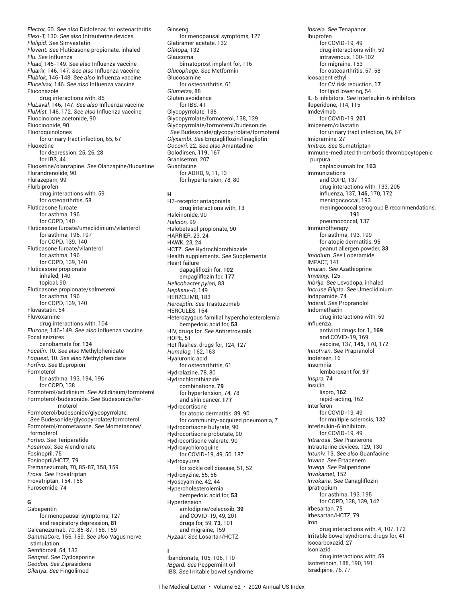*Flector,* 60. *See also* Diclofenac for osteoarthritis *Flexi-T,* 130. *See also* Intrauterine devices *Flolipid. See* Simvastatin *Flovent. See* Fluticasone propionate, inhaled *Flu. See* Influenza *Fluad,* 145-149. *See also* Influenza vaccine *Fluarix,* 146, 147. *See also* Influenza vaccine *Flublok,* 146-148. *See also* Influenza vaccine *FluceIvax,* 146. *See also* Influenza vaccine Fluconazole drug interactions with, 85 *FluLaval,* 146, 147. *See also* Influenza vaccine *FluMist,* 146, 172. *See also* Influenza vaccine Fluocinolone acetonide, 90 Fluocinonide, 90 Fluoroquinolones for urinary tract infection, 65, 67 Fluoxetine for depression, 25, 26, 28 for IBS, 44 Fluoxetine/olanzapine. *See* Olanzapine/fluoxetine Flurandrenolide, 90 Flurazepam, 99 Flurbiprofen drug interactions with, 59 for osteoarthritis, 58 Fluticasone furoate for asthma, 196 for COPD, 140 Fluticasone furoate/umeclidinium/vilanterol for asthma, 196, 197 for COPD, 139, 140 Fluticasone furoate/vilanterol for asthma, 196 for COPD, 139, 140 Fluticasone propionate inhaled, 140 topical, 90 Fluticasone propionate/salmeterol for asthma, 196 for COPD, 139, 140 Fluvastatin, 54 Fluvoxamine drug interactions with, 104 *Fluzone,* 146-149. *See also* Influenza vaccine Focal seizures cenobamate for, **134** *Focalin,* 10. *See also* Methylphenidate *Foquest,* 10. *See also* Methylphenidate *Forfi vo. See* Bupropion Formoterol for asthma, 193, 194, 196 for COPD, 138 Formoterol/aclidinium. *See* Aclidinium/formoterol Formoterol/budesonide. *See* Budesonide/formoterol Formoterol/budesonide/glycopyrrolate. *See* Budesonide/glycopyrrolate/formoterol Formoterol/mometasone. *See* Mometasone/ formoterol *Forteo. See* Teriparatide *Fosamax. See* Alendronate Fosinopril, 75 Fosinopril/HCTZ, 79 Fremanezumab, 70, 85-87, 158, 159 *Frova. See* Frovatriptan Frovatriptan, 154, 156 Furosemide, 74

# **G**

Gabapentin for menopausal symptoms, 127 and respiratory depression, **81** Galcanezumab, 70, 85-87, 158, 159 *GammaCore,* 156, 159. *See also* Vagus nerve stimulation Gemfibrozil, 54, 133 *Gengraf. See* Cyclosporine *Geodon. See* Ziprasidone *Gilenya. See* Fingolimod

Ginseng for menopausal symptoms, 127 Glatiramer acetate, 132 *Glatopa,* 132 Glaucoma bimatoprost implant for, 116 *Glucophage. See* Metformin Glucosamine for osteoarthritis, 61 *Glumetza*, 88 Gluten avoidance for IBS, 41 Glycopyrrolate, 138 Glycopyrrolate/formoterol, 138, 139 Glycopyrrolate/formoterol/budesonide. *See* Budesonide/glycopyrrolate/formoterol *Glyxambi. See* Empagliflozin/linagliptin *Gocovri,* 22. *See also* Amantadine Golodirsen, **119,** 167 Granisetron, 207 Guanfacine for ADHD, 9, 11, 13 for hypertension, 78, 80 **H** H2-receptor antagonists drug interactions with, 13 Halcinonide, 90 *Halcion,* 99 Halobetasol propionate, 90 HARRIER, 23, 24 HAWK, 23, 24 HCTZ. *See* Hydrochlorothiazide Health supplements. *See* Supplements Heart failure dapagliflozin for, **102** empagliflozin for, **177** *Helicobacter pylori,* 83 *Heplisav-B,* 149 HER2CLIMB, 183 *Herceptin. See* Trastuzumab HERCULES, 164 Heterozygous familial hypercholesterolemia bempedoic acid for, **53** HIV, drugs for. *See* Antiretrovirals **HOPF**<sub>51</sub> Hot flashes, drugs for, 124, 127 *Humalog,* 162, 163 Hyaluronic acid for osteoarthritis, 61

Hydralazine, 78, 80 Hydrochlorothiazide combinations, **79** for hypertension, 74, 78 and skin cancer, **177** Hydrocortisone for atopic dermatitis, 89, 90 for community-acquired pneumonia, 7 Hydrocortisone butyrate, 90 Hydrocortisone probutate, 90 Hydrocortisone valerate, 90 Hydroxychloroquine for COVID-19, 49, 50, 187 Hydroxyurea for sickle cell disease, 51, 52 Hydroxyzine, 55, 56 Hyoscyamine, 42, 44 Hypercholesterolemia bempedoic acid for, **53** Hypertension amlodipine/celecoxib, **39** and COVID-19, 49, 201 drugs for, 59, **73,** 101 and migraine, 159 *Hyzaar. See* Losartan/HCTZ

**I** Ibandronate, 105, 106, 110 *IBgard. See* Peppermint oil IBS. *See* Irritable bowel syndrome

*Ibsrela. See* Tenapanor Ibuprofen for COVID-19, 49 drug interactions with, 59 intravenous, 100-102 for migraine, 153 for osteoarthritis, 57, 58 Icosapent ethyl for CV risk reduction, **17** for lipid lowering, 54 IL-6 inhibitors. *See* Interleukin-6 inhibitors Iloperidone, 114, 115 Imdevimab for COVID-19, **201** Imipenem/cilastatin for urinary tract infection, 66, 67 Imipramine, 27 *Imitrex. See* Sumatriptan Immune-mediated thrombotic thrombocytopenic purpura caplacizumab for, **163** Immunizations and COPD, 137 drug interactions with, 133, 205 influenza, 137, **145,** 170, 172 meningococcal, 193 meningococcal serogroup B recommendations, **191** pneumococcal, 137 Immunotherapy for asthma, 193, 199 for atopic dermatitis, 95 peanut allergen powder, **33** *Imodium. See* Loperamide IMPACT, 141 *Imuran. See* Azathioprine *Imvexxy,* 125 *Inbrija. See* Levodopa, inhaled *Incruse Ellipta. See* Umeclidinium Indapamide, 74 *Inderal. See* Propranolol Indomethacin drug interactions with, 59 Influenza antiviral drugs for, **1, 169** and COVID-19, 169 vaccine, 137, **145,** 170, 172 *InnoPran. See* Prapranolol Inotersen, 16 Insomnia lemborexant for, **97** *Inspra,* 74 Insulin lispro, **162** rapid-acting, 162 Interferon for COVID-19, 49 for multiple sclerosis, 132 Interleukin-6 inhibitors for COVID-19, 49 *Intrarosa. See* Prasterone Intrauterine devices, 129, 130 *Intuniv,* 13. *See also* Guanfacine *Invanz. See* Ertapenem *Invega. See* Paliperidone *Invokamet,* 152 *Invokana. See* Canagliflozin Ipratropium for asthma, 193, 195 for COPD, 138, 139, 142 Irbesartan, 75 Irbesartan/HCTZ, 79 Iron drug interactions with, 4, 107, 172 Irritable bowel syndrome, drugs for, **41** Isocarboxazid, 27 Isoniazid drug interactions with, 59 Isotretinoin, 188, 190, 191

Isradipine, 76, 77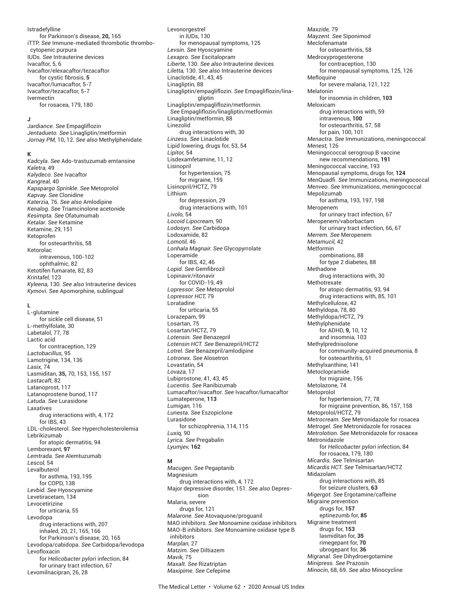## Istradefylline

for Parkinson's disease, **20,** 165 iTTP. *See* Immune-mediated thrombotic thrombo cytopenic purpura IUDs. *See* Intrauterine devices Ivacaftor, 5, 6 Ivacaftor/elexacaftor/tezacaftor for cystic fibrosis, 5 Ivacaftor/lumacaftor, 5-7 Ivacaftor/tezacaftor, 5-7 Ivermectin for rosacea, 179, 180

#### **J**

*Jardiance. See* Empagliflozin *Jentadueto. See* Linagliptin/metformin *Jornay PM,* 10, 12. *See also* Methylphenidate

#### **K**

*Kadcyla. See* Ado-trastuzumab emtansine *Kaletra,* 49 *Kalydeco. See* Ivacaftor *Kangreal,* 40 *Kapspargo Sprinkle. See* Metoprolol *Kapvay. See* Clonidine *Katerzia,* 76. *See also* Amlodipine *Kenalog. See* Triamcinolone acetonide *Kesimpta. See* Ofatumumab *Ketalar. See* Ketamine Ketamine, 29, 151 Ketoprofen for osteoarthritis, 58 Ketorolac intravenous, 100-102 ophthalmic, 82 Ketotifen fumarate, 82, 83 *Krintafel,* 123 *Kyleena,* 130. *See also* Intrauterine devices *Kymovi. See* Apomorphine, sublingual

## **L**

L-glutamine for sickle cell disease, 51 L-methylfolate, 30 Labetalol, 77, 78 Lactic acid for contraception, 129 *Lactobacillus,* 95 Lamotrigine, 134, 136 *Lasix,* 74 Lasmiditan, **35,** 70, 153, 155, 157 *Lastacaft,* 82 Latanoprost, 117 Latanoprostene bunod, 117 *Latuda. See* Lurasidone Laxatives drug interactions with, 4, 172 for IBS, 43 LDL-cholesterol. *See* Hypercholesterolemia Lebrikizumab for atopic dermatitis, 94 Lemborexant, **97** *Lemtrada. See* Alemtuzumab *Lescol,* 54 Levalbuterol for asthma, 193, 195 for COPD, 138 *Levbid. See* Hyoscyamine Levetiracetam, 134 Levocetirizine for urticaria, 55 Levodopa drug interactions with, 207 inhaled, 20, 21, 165, 166 for Parkinson's disease, 20, 165 Levodopa/cabidopa. *See* Carbidopa/levodopa Levofloxacin for *Helicobacter pylori* infection, 84 for urinary tract infection, 67 Levomilnacipran, 26, 28

Levonorgestrel in IUDs, 130 for menopausal symptoms, 125 *Levsin. See* Hyoscyamine *Lexapro. See* Escitalopram *Liberte,* 130. *See also* Intrauterine devices *Liletta,* 130. *See also* Intrauterine devices Linaclotide, 41, 43, 45 Linagliptin, 88 Linagliptin/empagliflozin. *See* Empagliflozin/linagliptin Linagliptin/empagliflozin/metformin. *See* Empagliflozin/linagliptin/metformin Linagliptin/metformin, 88 Linezolid drug interactions with, 30 *Linzess. See* Linaclotide Lipid lowering, drugs for, 53, 54 *Lipitor,* 54 Lisdexamfetamine, 11, 12 Lisinopril for hypertension, 75 for migraine, 159 Lisinopril/HCTZ, 79 Lithium for depression, 29 drug interactions with, 101 *Livolo,* 54 *Locoid Lipocream*, 90 *Lodosyn. See* Carbidopa Lodoxamide, 82 *Lomotil,* 46 *Lonhala Magnair. See* Glycopyrrolate Loperamide for IBS, 42, 46 Lopid. See Gemfibrozil Lopinavir/ritonavir for COVID-19, 49 *Lopressor. See* Metoprolol *Lopressor HCT,* 79 Loratadine for urticaria, 55 Lorazepam, 99 Losartan, 75 Losartan/HCTZ, 79 *Lotensin. See* Benazepril *Lotensin HCT. See* Benazepril/HCTZ *Lotrel. See* Benazepril/amlodipine *Lotronex. See* Alosetron Lovastatin, 54 *Lovaza,* 17 Lubiprostone, 41, 43, 45 *Lucentis. See* Ranibizumab Lumacaftor/ivacaftor. *See* Ivacaftor/lumacaftor Lumateperone, **113** *Lumigan,* 116 *Lunesta. See* Eszopiclone Lurasidone for schizophrenia, 114, 115 *Luxiq,* 90 *Lyrica. See* Pregabalin *Lyumjev,* **162**

## **M**

*Macugen. See* Pegaptanib Magnesium drug interactions with, 4, 172 Major depressive disorder, 151. *See also* Depression Malaria, severe drugs for, 121 *Malarone. See* Atovaquone/proguanil MAO inhibitors. *See* Monoamine oxidase inhibitors MAO-B inhibitors. *See* Monoamine oxidase type B inhibitors *Marplan,* 27 *Matzim. See* Diltiazem *Mavik,* 75 *Maxalt. See* Rizatriptan *Maxipime. See* Cefepime

*Maxzide,* 79 *Mayzent. See* Siponimod Meclofenamate for osteoarthritis, 58 Medroxyprogesterone for contraception, 130 for menopausal symptoms, 125, 126 Mefloquine for severe malaria, 121, 122 Melatonin for insomnia in children, **103** Meloxicam drug interactions with, 59 intravenous, **100** for osteoarthritis, 57, 58 for pain, 100, 101 *Menactra. See* Immunizations, meningococcal *Menest,* 126 Meningococcal serogroup B vaccine new recommendations, **191** Meningococcal vaccine, 193 Menopausal symptoms, drugs for, **124** MenQuadfi . *See* Immunizations, meningococcal *Menveo. See* Immunizations, meningococcal Mepolizumab for asthma, 193, 197, 198 Meropenem for urinary tract infection, 67 Meropenem/vaborbactam for urinary tract infection, 66, 67 *Merrem. See* Meropenem *Metamucil,* 42 Metformin combinations, 88 for type 2 diabetes, 88 Methadone drug interactions with, 30 Methotrexate for atopic dermatitis, 93, 94 drug interactions with, 85, 101 Methylcellulose, 42 Methyldopa, 78, 80 Methyldopa/HCTZ, 79 Methylphenidate for ADHD, **9,** 10, 12 and insomnia, 103 Methylprednisolone for community-acquired pneumonia, 8 for osteoarthritis, 61 Methylxanthine, 141 Metoclopramide for migraine, 156 Metolazone, 74 Metoprolol for hypertension, 77, 78 for migraine prevention, 86, 157, 158 Metoprolol/HCTZ, 79 *Metrocream. See* Metronidazole for rosacea *Metrogel. See* Metronidazole for rosacea *Metrolotion. See* Metronidazole for rosacea Metronidazole for *Helicobacter pylori* infection, 84 for rosacea, 179, 180 *Micardis. See* Telmisartan *Micardis HCT. See* Telmisartan/HCTZ Midazolam drug interactions with, 85 for seizure clusters, **63** *Migergot. See* Ergotamine/caffeine Migraine prevention drugs for, **157** eptinezumb for, **85** Migraine treatment drugs for, **153** lasmiditan for, **35** rimegepant for, **70** ubrogepant for, **36** *Migranal. See* Dihydroergotamine *Minipress. See* Prazosin *Minocin*, 68, 69. *See also* Minocycline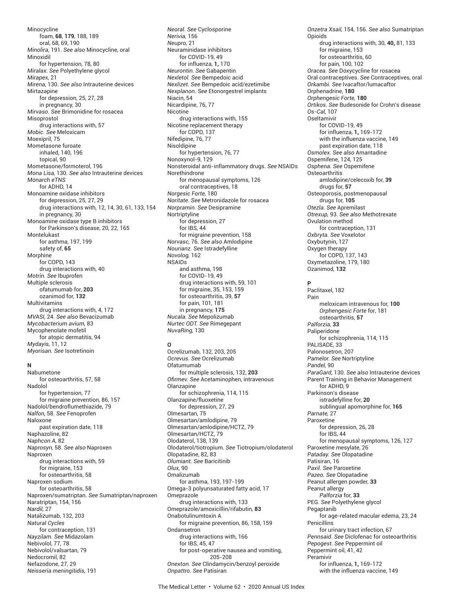Minocycline foam, **68**, **179**, 188, 189 oral, 68, 69, 190 *Minolira*, 191. *See also* Minocycline, oral Minoxidil for hypertension, 78, 80 *Miralax. See* Polyethylene glycol *Mirapex,* 21 *Mirena,* 130. *See also* Intrauterine devices Mirtazanine for depression, 25, 27, 28 in pregnancy, 30 *Mirvaso. See* Brimonidine for rosacea Misoprostol drug interactions with, 57 *Mobic. See* Meloxicam Moexipril, 75 Mometasone furoate inhaled, 140, 196 topical, 90 Mometasone/formoterol, 196 *Mona Lisa,* 130. *See also* Intrauterine devices *Monarch eTNS* for ADHD, 14 Monoamine oxidase inhibitors for depression, 25, 27, 29 drug interactions with, 12, 14, 30, 61, 133, 154 in pregnancy, 30 Monoamine oxidase type B inhibitors for Parkinson's disease, 20, 22, 165 Montelukast for asthma, 197, 199 safety of, **65** Morphine<sup>1</sup> for COPD, 143 drug interactions with, 40 *Motrin. See* Ibuprofen Multiple sclerosis ofatumumab for, **203** ozanimod for, **132** Multivitamins drug interactions with, 4, 172 *MVASI,* 24. *See also* Bevacizumab *Mycobacterium avium,* 83 Mycophenolate mofetil for atopic dermatitis, 94 *Mydayis,* 11, 12 *Myorisan. See* Isotretinoin

## **N**

Nabumetone for osteoarthritis, 57, 58 Nadolol for hypertension, 77 for migraine prevention, 86, 157 Nadolol/bendroflumethiazide, 79 *Nalfon,* 58. *See* Fenoprofen Naloxone past expiration date, 118 Naphazoline, 82 *Naphcon A,* 82 *Naprosyn,* 58. *See also* Naproxen Naproxen drug interactions with, 59 for migraine, 153 for osteoarthritis, 58 Naproxen sodium for osteoarthritis, 58 Naproxen/sumatriptan. *See* Sumatriptan/naproxen Naratriptan, 154, 156 *Nardil,* 27 Natalizumab, 132, 203 *Natural Cycles* for contraception, 131 *Nayzilam. See* Midazolam Nebivolol, 77, 78 Nebivolol/valsartan, 79 Nedocromil, 82 Nefazodone, 27, 29 *Neisseria meningitidis,* 191

*Neoral. See* Cyclosporine *Nerivia,* 156 *Neupro,* 21 Neuraminidase inhibitors for COVID-19, 49 for influenza, **1,** 170 *Neurontin. See* Gabapentin *Nexletol. See* Bempedoic acid *Nexlizet. See* Bempedoic acid/ezetimibe *Nexplanon. See* Etonorgestrel implants Niacin, 54 Nicardipine, 76, 77 Nicotine drug interactions with, 155 Nicotine replacement therapy for COPD, 137 Nifedipine, 76, 77 Nisoldipine for hypertension, 76, 77 Nonoxynol-9, 129 Nonsteroidal anti-inflammatory drugs. *See* NSAIDs Norethindrone for menopausal symptoms, 126 oral contraceptives, 18 *Norgesic Forte,* 180 *Noritate. See* Metronidazole for rosacea *Norpramin. See* Desipramine Nortriptyline for depression, 27 for IBS, 44 for migraine prevention, 158 *Norvasc,* 76. *See also* Amlodipine *Nourianz. See* Istradefylline *Novolog,* 162 NSAIDs and asthma, 198 for COVID-19, 49 drug interactions with, 59, 101 for migraine, 35, 153, 159 for osteoarthritis, 39, **57** for pain, 101, 181 in pregnancy, **175** *Nucala. See* Mepolizumab *Nurtec ODT. See* Rimegepant *NuvaRing,* 130

## **O**

Ocrelizumab, 132, 203, 205 *Ocrevus. See* Ocrelizumab Ofatumumab for multiple sclerosis, 132, **203** *Ofi rmev. See* Acetaminophen, intravenous Olanzapine for schizophrenia, 114, 115 Olanzapine/fluoxetine for depression, 27, 29 Olmesartan, 75 Olmesartan/amlodipine, 79 Olmesartan/amlodipine/HCTZ, 79 Olmesartan/HCTZ, 79 Olodaterol, 138, 139 Olodaterol/tiotropium. *See* Tiotropium/olodaterol Olopatadine, 82, 83 *Olumiant. See* Baricitinib *Olux,* 90 Omalizumab for asthma, 193, 197-199 Omega-3 polyunsaturated fatty acid, 17 Omeprazole drug interactions with, 133 Omeprazole/amoxicillin/rifabutin, **83** Onabotulinumtoxin A for migraine prevention, 86, 158, 159 Ondansetron drug interactions with, 166 for IBS, 45, 47 for post-operative nausea and vomiting, 205-208 *Onexton. See* Clindamycin/benzoyl peroxide *Onpattro. See* Patisiran

*Onzetra Xsail,* 154, 156. *See also* Sumatriptan Opioids drug interactions with, 30, **40,** 81, 133 for migraine, 153 for osteoarthritis, 60 for pain, 100, 102 *Oracea. See* Doxycycline for rosacea Oral contraceptives. *See* Contraceptives, oral *Orkambi. See* Ivacaftor/lumacaftor Orphenadrine, **180** *Orphengesic Forte,* **180** *Ortikos. See* Budesonide for Crohn's disease *Os-Cal,* 107 Oseltamivir for COVID-19, 49 for influenza, **1,** 169-172 with the influenza vaccine, 149 past expiration date, 118 *Osmolex. See also* Amantadine Ospemifene, 124, 125 *Osphena. See* Ospemifene **Osteoarthritis** amlodipine/celecoxib for, **39** drugs for, **57** Osteoporosis, postmenopausal drugs for, **105** *Otezla. See* Apremilast *Otrexup,* 93. *See also* Methotrexate Ovulation method for contraception, 131 *Oxbryta. See* Voxelotor Oxybutynin, 127 Oxygen therapy for COPD, 137, 143 Oxymetazoline, 179, 180 Ozanimod, **132 P** Paclitaxel, 182 Pain meloxicam intravenous for, **100** *Orphengesic Forte* for*,* 181 osteoarthritis, **57** *Palforzia,* **33** Paliperidone for schizophrenia, 114, 115 PALISADE, 33 Palonosetron, 207 *Pamelor. See* Nortriptyline *Pandel,* 90 *ParaGard,* 130. *See also* Intrauterine devices Parent Training in Behavior Management for ADHD, 9 Parkinson's disease istradefylline for, **20** sublingual apomorphine for, **165** *Parnate,* 27 Paroxetine for depression, 26, 28 for IBS, 44 for menopausal symptoms, 126, 127 Paroxetine mesylate, 26 *Pataday. See* Olopatadine Patisiran, 16 *Paxil. See* Paroxetine *Pazeo. See* Olopatadine Peanut allergen powder, **33** Peanut allergy *Palforzia* for, **33** PEG. *See* Polyethylene glycol Pegaptanib for age-related macular edema, 23, 24 **Penicillins** for urinary tract infection, 67 *Pennsaid. See* Diclofenac for osteoarthritis *Pepogest. See* Peppermint oil Peppermint oil, 41, 42 Peramivir for influenza, **1,** 169-172 with the influenza vaccine, 149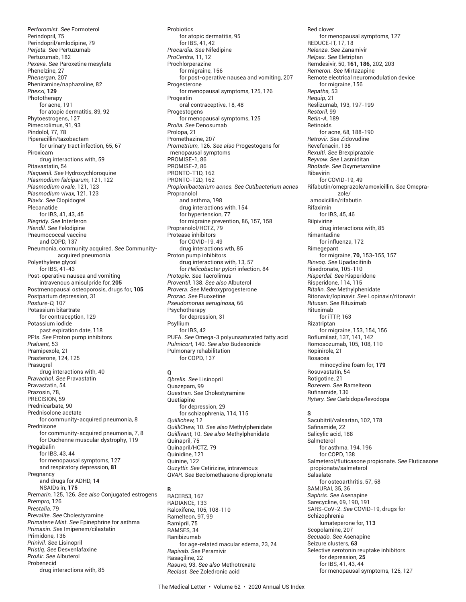*Perforomist. See* Formoterol Perindopril, 75 Perindopril/amlodipine, 79 *Perjeta. See* Pertuzumab Pertuzumab, 182 *Pexeva. See* Paroxetine mesylate Phenelzine, 27 *Phenergan,* 207 Pheniramine/naphazoline, 82 *Phexxi,* **129** Phototherapy for acne, 191 for atopic dermatitis, 89, 92 Phytoestrogens, 127 Pimecrolimus, 91, 93 Pindolol, 77, 78 Piperacillin/tazobactam for urinary tract infection, 65, 67 Piroxicam drug interactions with, 59 Pitavastatin, 54 *Plaquenil. See* Hydroxychloroquine *Plasmodium falciparum,* 121, 122 *Plasmodium ovale,* 121, 123 *Plasmodium vivax,* 121, 123 *Plavix. See* Clopidogrel Plecanatide for IBS, 41, 43, 45 *Plegridy. See* Interferon *Plendil. See* Felodipine Pneumococcal vaccine and COPD, 137 Pneumonia, community acquired. *See* Communityacquired pneumonia Polyethylene glycol for IBS, 41-43 Post-operative nausea and vomiting intravenous amisulpride for, **205** Postmenopausal osteoporosis, drugs for, **105** Postpartum depression, 31 *Posture-D,* 107 Potassium bitartrate for contraception, 129 Potassium iodide past expiration date, 118 PPIs. *See* Proton pump inhibitors *Praluent,* 53 Pramipexole, 21 Prasterone, 124, 125 Prasugrel drug interactions with, 40 *Pravachol. See* Pravastatin Pravastatin, 54 Prazosin, 78, PRECISION, 59 Prednicarbate, 90 Prednisolone acetate for community-acquired pneumonia, 8 Prednisone for community-acquired pneumonia, 7, 8 for Duchenne muscular dystrophy, 119 Pregabalin for IBS, 43, 44 for menopausal symptoms, 127 and respiratory depression, **81** Pregnancy and drugs for ADHD, **14** NSAIDs in, **175** *Premarin,* 125, 126. *See also* Conjugated estrogens *Prempro,* 126 *Prestalia,* 79 *Prevalite. See* Cholestyramine *Primatene Mist. See* Epinephrine for asthma *Primaxin. See* Imipenem/cilastatin Primidone, 136 *Prinivil. See* Lisinopril *Pristiq. See* Desvenlafaxine *ProAir. See* Albuterol Probenecid

drug interactions with, 85

**Probiotics** for atopic dermatitis, 95 for IBS, 41, 42 *Procardia. See* Nifedipine *ProCentra,* 11, 12 Prochlorperazine for migraine, 156 for post-operative nausea and vomiting, 207 Progesterone for menopausal symptoms, 125, 126 Progestin oral contraceptive, 18, 48 Progestogens for menopausal symptoms, 125 *Prolia. See* Denosumab Prolopa, 21 Promethazine, 207 *Prometrium,* 126. *See also* Progestogens for menopausal symptoms PROMISE-1, 86 PROMISE-2, 86 PRONTO-T1D, 162 PRONTO-T2D, 162 *Propionibacterium acnes. See Cutibacterium acnes* Propranolol and asthma, 198 drug interactions with, 154 for hypertension, 77 for migraine prevention, 86, 157, 158 Propranolol/HCTZ, 79 Protease inhibitors for COVID-19, 49 drug interactions wth, 85 Proton pump inhibitors drug interactions with, 13, 57 for *Helicobacter pylori* infection, 84 *Protopic. See* Tacrolimus *Proventil,* 138. *See also* Albuterol *Provera. See* Medroxyprogesterone *Prozac. See* Fluoxetine *Pseudomonas aeruginosa,* 66 Psychotherapy for depression, 31 Psyllium for IBS, 42 PUFA. *See* Omega-3 polyunsaturated fatty acid *Pulmicort,* 140. *See also* Budesonide Pulmonary rehabilitation for COPD, 137

# **Q**

*Qbrelis. See* Lisinopril Quazepam, 99 *Questran. See* Cholestyramine **Ouetiapine** for depression, 29 for schizophrenia, 114, 115 *Quillichew,* 12 *QuilliChew,* 10. *See also* Methylphenidate *Quillivant,* 10. *See also* Methylphenidate Quinapril, 75 Quinapril/HCTZ, 79 Quinidine, 121 Quinine, 122 *Quzyttir. See* Cetirizine, intravenous *QVAR. See* Beclomethasone dipropionate

#### **R** RACER53, 167 RADIANCE, 133 Raloxifene, 105, 108-110 Ramelteon, 97, 99 Ramipril, 75 RAMSES, 34 Ranibizumab for age-related macular edema, 23, 24 *Rapivab. See* Peramivir Rasagiline, 22 *Rasuvo,* 93. *See also* Methotrexate *Reclast. See* Zoledronic acid

Red clover for menopausal symptoms, 127 REDUCE-IT, 17, 18 *Relenza. See* Zanamivir *Relpax. See* Eletriptan Remdesivir, 50, **161, 186,** 202, 203 *Remeron. See* Mirtazapine Remote electrical neuromodulation device for migraine, 156 *Repatha,* 53 *Requip,* 21 Reslizumab, 193, 197-199 *Restoril,* 99 *Retin-A,* 189 Retinoids for acne, 68, 188-190 *Retrovir. See* Zidovudine Revefenacin, 138 *Rexulti. See* Brexpiprazole *Reyvow. See* Lasmiditan *Rhofade. See* Oxymetazoline Ribavirin for COVID-19, 49 Rifabutin/omeprazole/amoxicillin. *See* Omeprazole/ amoxicillin/rifabutin Rifaximin for IBS, 45, 46 Rilpivirine drug interactions with, 85 Rimantadine for influenza, 172 Rimegepant for migraine, **70,** 153-155, 157 *Rinvoq. See* Upadacitinib Risedronate, 105-110 *Risperdal. See* Risperidone Risperidone, 114, 115 *Ritalin. See* Methylphenidate Ritonavir/lopinavir. *See* Lopinavir/ritonavir *Rituxan. See* Rituximab Rituximab for iTTP, 163 Rizatriptan for migraine, 153, 154, 156 Roflumilast, 137, 141, 142 Romosozumab, 105, 108, 110 Ropinirole, 21 Rosacea minocycline foam for, **179** Rosuvastatin, 54 Rotigotine, 21 *Rozerem. See* Ramelteon Rufinamide, 136 *Rytary. See* Carbidopa/levodopa **S** Sacubitril/valsartan, 102, 178 Safinamide, 22 Salicylic acid, 188 Salmeterol for asthma, 194, 196 for COPD, 138 Salmeterol/fluticasone propionate. *See* Fluticasone propionate/salmeterol Salsalate for osteoarthritis, 57, 58 SAMURAI, 35, 36 *Saphris. See* Asenapine Sarecycline, 69, 190, 191 SARS-CoV-2. *See* COVID-19, drugs for Schizophrenia lumateperone for, **113** Scopolamine, 207 *Secuado. See* Asenapine Seizure clusters, **63** Selective serotonin reuptake inhibitors for depression, **25** for IBS, 41, 43, 44 for menopausal symptoms, 126, 127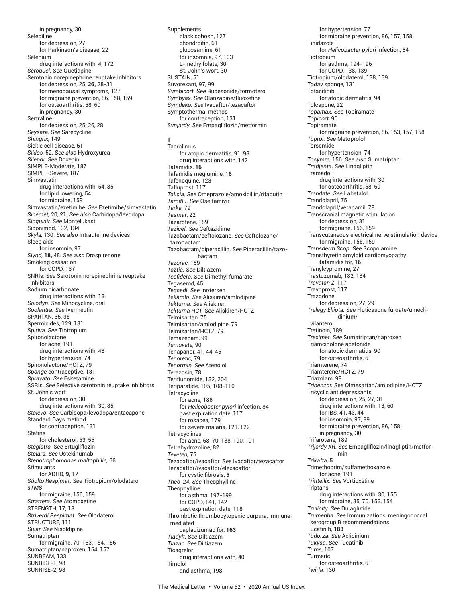in pregnancy, 30 **Selegiline** for depression, 27 for Parkinson's disease, 22 Selenium drug interactions with, 4, 172 *Seroquel. See* Quetiapine Serotonin norepinephrine reuptake inhibitors for depression, 25, **26,** 28-31 for menopausal symptoms, 127 for migraine prevention, 86, 158, 159 for osteoarthritis, 58, 60 in pregnancy, 30 **Sertraline** for depression, 25, 26, 28 *Seysara. See* Sarecycline *Shingrix,* 149 Sickle cell disease, **51** *Siklos,* 52. *See also* Hydroxyurea *Silenor. See* Doxepin SIMPLE-Moderate, 187 SIMPLE-Severe, 187 Simvastatin drug interactions with, 54, 85 for lipid lowering, 54 for migraine, 159 Simvastatin/ezetimibe. *See* Ezetimibe/simvastatin *Sinemet,* 20, 21. *See also* Carbidopa/levodopa *Singulair. See* Montelukast Siponimod, 132, 134 *Skyla,* 130. *See also* Intrauterine devices Sleep aids for insomnia, 97 *Slynd,* **18,** 48. *See also* Drospirenone Smoking cessation for COPD, 137 SNRIs. *See* Serotonin norepinephrine reuptake inhibitors Sodium bicarbonate drug interactions with, 13 *Solodyn. See* Minocycline, oral *Soolantra. See* Ivermectin SPARTAN, 35, 36 Spermicides, 129, 131 *Spiriva. See* Tiotropium Spironolactone for acne, 191 drug interactions with, 48 for hypertension, 74 Spironolactone/HCTZ, 79 *Sponge* contraceptive, 131 *Spravato. See* Esketamine SSRIs. *See* Selective serotonin reuptake inhibitors St. John's wort for depression, 30 drug interactions with, 30, 85 *Stalevo. See* Carbidopa/levodopa/entacapone Standard Days method for contraception, 131 **Statins** for cholesterol, 53, 55 *Steglatro. See* Ertugliflozin *Stelara. See* Ustekinumab *Stenotrophomonas maltophilia,* 66 Stimulants for ADHD, **9,** 12 *Stiolto Respimat. See* Tiotropium/olodaterol *sTMS* for migraine, 156, 159 *Strattera. See* Atomoxetine STRENGTH, 17, 18 *Striverdi Respimat. See* Olodaterol STRUCTURE, 111 *Sular. See* Nisoldipine Sumatriptan for migraine, 70, 153, 154, 156 Sumatriptan/naproxen, 154, 157 SUNBEAM, 133 SUNRISE-1, 98 SUNRISE-2, 98

Supplements black cohosh, 127 chondroitin, 61 glucosamine, 61 for insomnia, 97, 103 L-methylfolate, 30 St. John's wort, 30 SUSTAIN, 51 Suvorexant, 97, 99 *Symbicort. See* Budesonide/formoterol *Symbyax. See* Olanzapine/fluoxetine *Symdeko. See* Ivacaftor/tezacaftor Symptothermal method for contraception, 131 *Synjardy. See* Empagliflozin/metformin

**T Tacrolimus** for atopic dermatitis, 91, 93 drug interactions with, 142 Tafamidis, **16** Tafamidis meglumine, **16** Tafenoquine, 123 Tafluprost, 117 *Talicia. See* Omeprazole/amoxicillin/rifabutin *Tamiflu. See* Oseltamivir *Tarka,* 79 *Tasmar*, 22 Tazarotene, 189 *Tazicef. See* Ceftazidime Tazobactam/ceftolozane. *See* Ceftolozane/ tazobactam Tazobactam/piperacillin. *See* Piperacillin/tazobactam *Tazorac,* 189 *Taztia. See* Diltiazem *Tecfi dera. See* Dimethyl fumarate Tegaserod, 45 *Tegsedi. See* Inotersen *Tekamlo. See* Aliskiren/amlodipine *Tekturna. See* Aliskiren *Tekturna HCT. See* Aliskiren/HCTZ Telmisartan, 75 Telmisartan/amlodipine, 79 Telmisartan/HCTZ, 79 Temazepam, 99 *Temovate,* 90 Tenapanor, 41, 44, 45 *Tenoretic,* 79 *Tenormin. See* Atenolol Terazosin, 78 Teriflunomide, 132, 204 Teriparatide, 105, 108-110 **Tetracycline** for acne, 188 for *Helicobacter pylori* infection, 84 past expiration date, 117 for rosacea, 179 for severe malaria, 121, 122 Tetracyclines for acne, 68-70, 188, 190, 191 Tetrahydrozoline, 82 *Teveten,* 75 Tezacaftor/ivacaftor. *See* Ivacaftor/tezacaftor Tezacaftor/ivacaftor/elexacaftor for cystic fibrosis, 5 *Theo-24. See* Theophylline Theophylline for asthma, 197-199 for COPD, 141, 142 past expiration date, 118 Thrombotic thrombocytopenic purpura, Immune mediated caplacizumab for, **163** *Tiadylt. See* Diltiazem *Tiazac. See* Diltiazem **Ticagrelor** drug interactions with, 40 Timolol and asthma, 198

for hypertension, 77 for migraine prevention, 86, 157, 158 Tinidazole for *Helicobacter pylori* infection, 84 **Tiotropium** for asthma, 194-196 for COPD, 138, 139 Tiotropium/olodaterol, 138, 139 *Today* sponge, 131 Tofacitinib for atopic dermatitis, 94 Tolcapone, 22 *Topamax. See* Topiramate *Topicort,* 90 Topiramate for migraine prevention, 86, 153, 157, 158 *Toprol. See* Metoprolol Torsemide for hypertension, 74 *Tosymra,* 156. *See also* Sumatriptan *Tradjenta. See* Linagliptin Tramadol drug interactions with, 30 for osteoarthritis, 58, 60 *Trandate. See* Labetalol Trandolapril, 75 Trandolapril/verapamil, 79 Transcranial magnetic stimulation for depression, 31 for migraine, 156, 159 Transcutaneous electrical nerve stimulation device for migraine, 156, 159 *Transderm Scop. See* Scopolamine Transthyretin amyloid cardiomyopathy tafamidis for, **16** Tranylcypromine, 27 Trastuzumab, 182, 184 *Travatan Z,* 117 Travoprost, 117 Trazodone for depression, 27, 29 *Trelegy Ellipta. See* Fluticasone furoate/umeclidinium/ vilanterol Tretinoin, 189 *Treximet. See* Sumatriptan/naproxen Triamcinolone acetonide for atopic dermatitis, 90 for osteoarthritis, 61 Triamterene, 74 Triamterene/HCTZ, 79 Triazolam, 99 *Tribenzor. See* Olmesartan/amlodipine/HCTZ Tricyclic antidepressants for depression, 25, 27, 31 drug interactions with, 13, 60 for IBS, 41, 43, 44 for insomnia, 97, 99 for migraine prevention, 86, 158 in pregnancy, 30 Trifarotene, 189 *Trijardy XR. See* Empagliflozin/linagliptin/metformin *Trikafta,* **5** Trimethoprim/sulfamethoxazole for acne, 191 *Trintellix. See* Vortioxetine **Triptans** drug interactions with, 30, 155 for migraine, 35, 70, 153, 154 *Trulicity. See* Dulaglutide *Trumenba. See* Immunizations, meningococcal serogroup B recommendations Tucatinib, **183** *Tudorza. See* Aclidinium *Tukysa. See* Tucatinib *Tums,* 107 Turmeric for osteoarthritis, 61

*Twirla,* 130